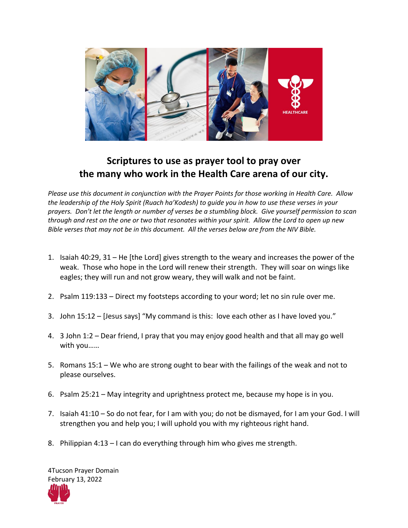

## **Scriptures to use as prayer tool to pray over the many who work in the Health Care arena of our city.**

*Please use this document in conjunction with the Prayer Points for those working in Health Care. Allow the leadership of the Holy Spirit (Ruach ha'Kodesh) to guide you in how to use these verses in your prayers. Don't let the length or number of verses be a stumbling block. Give yourself permission to scan through and rest on the one or two that resonates within your spirit. Allow the Lord to open up new Bible verses that may not be in this document. All the verses below are from the NIV Bible.* 

- 1. Isaiah 40:29, 31 He [the Lord] gives strength to the weary and increases the power of the weak. Those who hope in the Lord will renew their strength. They will soar on wings like eagles; they will run and not grow weary, they will walk and not be faint.
- 2. Psalm 119:133 Direct my footsteps according to your word; let no sin rule over me.
- 3. John 15:12 [Jesus says] "My command is this: love each other as I have loved you."
- 4. 3 John 1:2 Dear friend, I pray that you may enjoy good health and that all may go well with you……
- 5. Romans 15:1 We who are strong ought to bear with the failings of the weak and not to please ourselves.
- 6. Psalm 25:21 May integrity and uprightness protect me, because my hope is in you.
- 7. Isaiah 41:10 So do not fear, for I am with you; do not be dismayed, for I am your God. I will strengthen you and help you; I will uphold you with my righteous right hand.
- 8. Philippian 4:13 I can do everything through him who gives me strength.

4Tucson Prayer Domain February 13, 2022